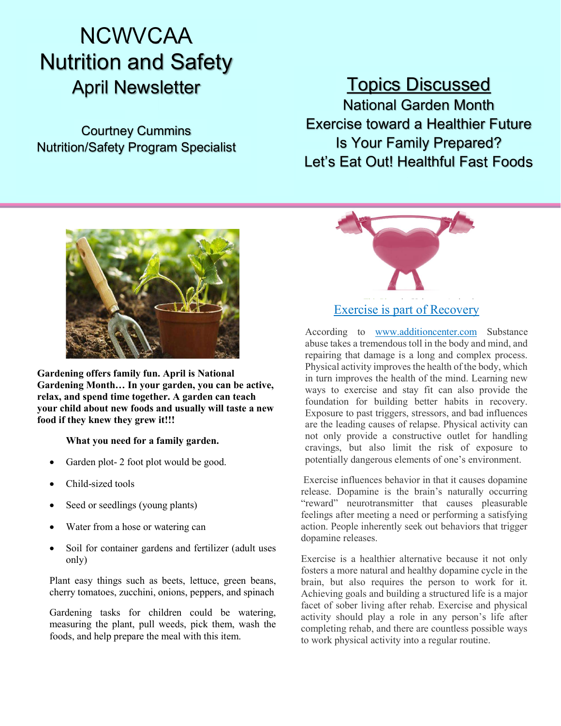# **NCWVCAA** Nutrition and Safety April Newsletter

Courtney Cummins Nutrition/Safety Program Specialist

# Topics Discussed

National Garden Month Exercise toward a Healthier Future Is Your Family Prepared? Let's Eat Out! Healthful Fast Foods



Gardening offers family fun. April is National Gardening Month… In your garden, you can be active, relax, and spend time together. A garden can teach your child about new foods and usually will taste a new food if they knew they grew it!!!

# What you need for a family garden.

- Garden plot- 2 foot plot would be good.
- Child-sized tools
- Seed or seedlings (young plants)
- Water from a hose or watering can
- Soil for container gardens and fertilizer (adult uses only)

Plant easy things such as beets, lettuce, green beans, cherry tomatoes, zucchini, onions, peppers, and spinach

Gardening tasks for children could be watering, measuring the plant, pull weeds, pick them, wash the foods, and help prepare the meal with this item.



# Exercise is part of Recovery

According to www.additioncenter.com Substance abuse takes a tremendous toll in the body and mind, and repairing that damage is a long and complex process. Physical activity improves the health of the body, which in turn improves the health of the mind. Learning new ways to exercise and stay fit can also provide the foundation for building better habits in recovery. Exposure to past triggers, stressors, and bad influences are the leading causes of relapse. Physical activity can not only provide a constructive outlet for handling cravings, but also limit the risk of exposure to potentially dangerous elements of one's environment.

 Exercise influences behavior in that it causes dopamine release. Dopamine is the brain's naturally occurring "reward" neurotransmitter that causes pleasurable feelings after meeting a need or performing a satisfying action. People inherently seek out behaviors that trigger dopamine releases.

Exercise is a healthier alternative because it not only fosters a more natural and healthy dopamine cycle in the brain, but also requires the person to work for it. Achieving goals and building a structured life is a major facet of sober living after rehab. Exercise and physical activity should play a role in any person's life after completing rehab, and there are countless possible ways to work physical activity into a regular routine.